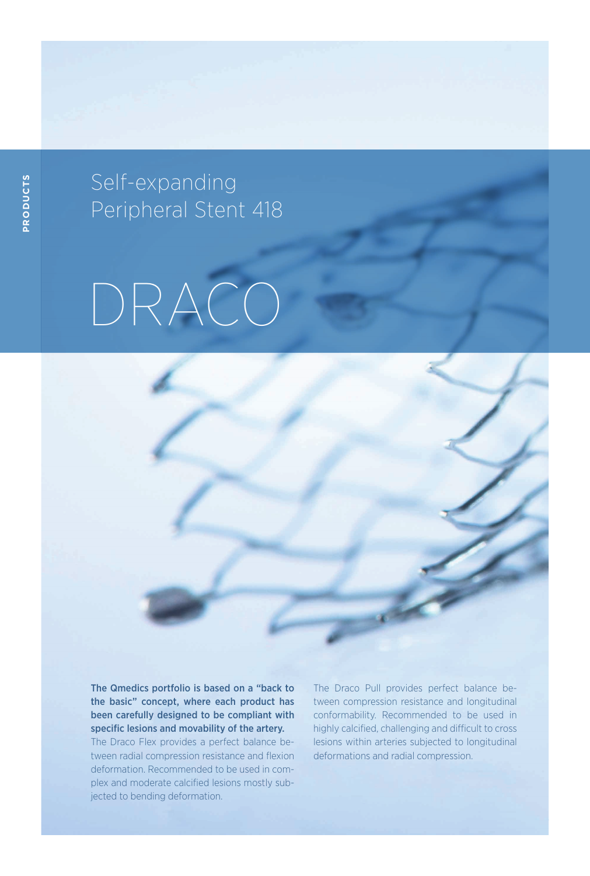Self-expanding Peripheral Stent 418

## DRACO

The Qmedics portfolio is based on a "back to the basic" concept, where each product has been carefully designed to be compliant with specific lesions and movability of the artery. The Draco Flex provides a perfect balance between radial compression resistance and flexion deformation. Recommended to be used in complex and moderate calcified lesions mostly subjected to bending deformation.

The Draco Pull provides perfect balance between compression resistance and longitudinal conformability. Recommended to be used in highly calcified, challenging and difficult to cross lesions within arteries subjected to longitudinal deformations and radial compression.